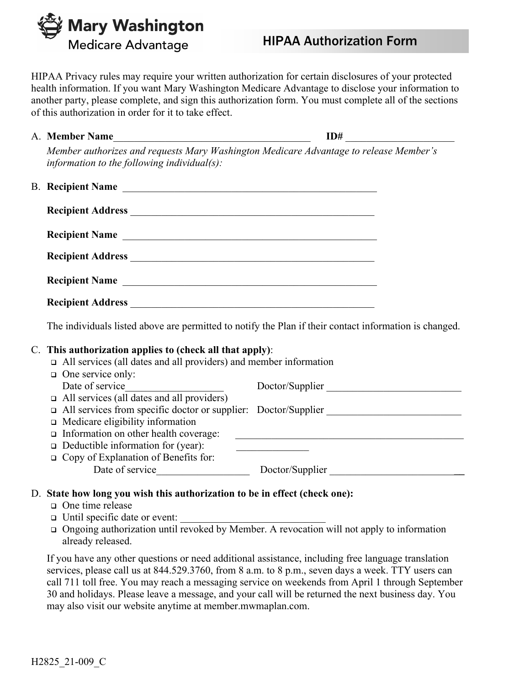Mary Washington Medicare Advantage

# HIPAA Authorization Form

HIPAA Privacy rules may require your written authorization for certain disclosures of your protected health information. If you want Mary Washington Medicare Advantage to disclose your information to another party, please complete, and sign this authorization form. You must complete all of the sections of this authorization in order for it to take effect.

| A. | <b>Member Name</b> |  |  |  |
|----|--------------------|--|--|--|
|    |                    |  |  |  |

*Member authorizes and requests Mary Washington Medicare Advantage to release Member's information to the following individual(s):*

| <b>B.</b> Recipient Name |  |
|--------------------------|--|
|                          |  |
| Recipient Name           |  |
| Recipient Address        |  |
| Recipient Name           |  |
|                          |  |

The individuals listed above are permitted to notify the Plan if their contact information is changed.

## C. **This authorization applies to (check all that apply)**:

All services (all dates and all providers) and member information

| $\Box$ One service only:                                              |                 |
|-----------------------------------------------------------------------|-----------------|
| Date of service                                                       | Doctor/Supplier |
| $\Box$ All services (all dates and all providers)                     |                 |
| $\Box$ All services from specific doctor or supplier: Doctor/Supplier |                 |
| $\Box$ Medicare eligibility information                               |                 |
| $\Box$ Information on other health coverage:                          |                 |
| $\Box$ Deductible information for (year):                             |                 |
| $\Box$ Copy of Explanation of Benefits for:                           |                 |
| Date of service                                                       | Doctor/Supplier |
|                                                                       |                 |

## D. **State how long you wish this authorization to be in effect (check one):**

- One time release
- $\Box$  Until specific date or event:
- Ongoing authorization until revoked by Member. A revocation will not apply to information already released.

If you have any other questions or need additional assistance, including free language translation services, please call us at 844.529.3760, from 8 a.m. to 8 p.m., seven days a week. TTY users can call 711 toll free. You may reach a messaging service on weekends from April 1 through September 30 and holidays. Please leave a message, and your call will be returned the next business day. You may also visit our website anytime at member.mwmaplan.com.